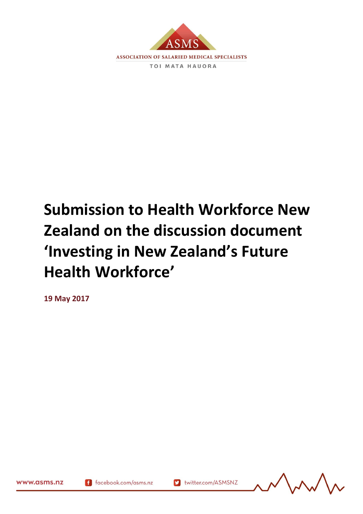

# **Submission to Health Workforce New Zealand on the discussion document 'Investing in New Zealand's Future Health Workforce'**

**19 May 2017**



www.asms.nz

167986.2

f facebook.com/asms.nz

Muslim twitter.com/ASMSNZ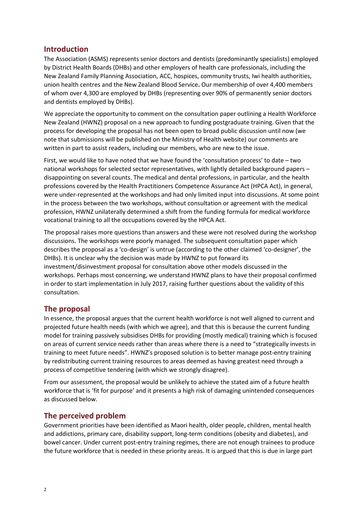# **Introduction**

The Association (ASMS) represents senior doctors and dentists (predominantly specialists) employed by District Health Boards (DHBs) and other employers of health care professionals, including the New Zealand Family Planning Association, ACC, hospices, community trusts, Iwi health authorities, union health centres and the New Zealand Blood Service**.** Our membership of over 4,400 members of whom over 4,300 are employed by DHBs (representing over 90% of permanently senior doctors and dentists employed by DHBs).

We appreciate the opportunity to comment on the consultation paper outlining a Health Workforce New Zealand (HWNZ) proposal on a new approach to funding postgraduate training. Given that the process for developing the proposal has not been open to broad public discussion until now (we note that submissions will be published on the Ministry of Health website) our comments are written in part to assist readers, including our members, who are new to the issue.

First, we would like to have noted that we have found the 'consultation process' to date – two national workshops for selected sector representatives, with lightly detailed background papers – disappointing on several counts. The medical and dental professions, in particular, and the health professions covered by the Health Practitioners Competence Assurance Act (HPCA Act), in general, were under-represented at the workshops and had only limited input into discussions. At some point in the process between the two workshops, without consultation or agreement with the medical profession, HWNZ unilaterally determined a shift from the funding formula for medical workforce vocational training to all the occupations covered by the HPCA Act.

The proposal raises more questions than answers and these were not resolved during the workshop discussions. The workshops were poorly managed. The subsequent consultation paper which describes the proposal as a 'co-design' is untrue (according to the other claimed 'co-designer', the DHBs). It is unclear why the decision was made by HWNZ to put forward its investment/disinvestment proposal for consultation above other models discussed in the workshops. Perhaps most concerning, we understand HWNZ plans to have their proposal confirmed in order to start implementation in July 2017, raising further questions about the validity of this consultation.

## **The proposal**

In essence, the proposal argues that the current health workforce is not well aligned to current and projected future health needs (with which we agree), and that this is because the current funding model for training passively subsidises DHBs for providing (mostly medical) training which is focused on areas of current service needs rather than areas where there is a need to "strategically invests in training to meet future needs". HWNZ's proposed solution is to better manage post-entry training by redistributing current training resources to areas deemed as having greatest need through a process of competitive tendering (with which we strongly disagree).

From our assessment, the proposal would be unlikely to achieve the stated aim of a future health workforce that is 'fit for purpose' and it presents a high risk of damaging unintended consequences as discussed below.

## **The perceived problem**

Government priorities have been identified as Maori health, older people, children, mental health and addictions, primary care, disability support, long-term conditions (obesity and diabetes), and bowel cancer. Under current post-entry training regimes, there are not enough trainees to produce the future workforce that is needed in these priority areas. It is argued that this is due in large part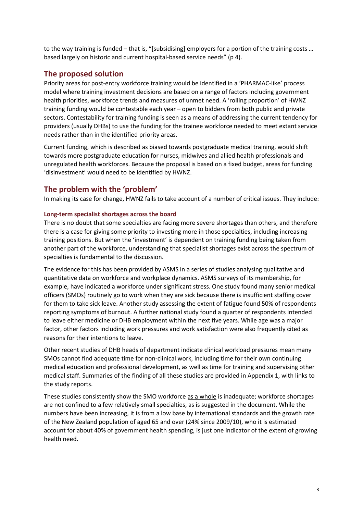to the way training is funded – that is, "[subsidising] employers for a portion of the training costs … based largely on historic and current hospital-based service needs" (p 4).

## **The proposed solution**

Priority areas for post-entry workforce training would be identified in a 'PHARMAC-like' process model where training investment decisions are based on a range of factors including government health priorities, workforce trends and measures of unmet need. A 'rolling proportion' of HWNZ training funding would be contestable each year – open to bidders from both public and private sectors. Contestability for training funding is seen as a means of addressing the current tendency for providers (usually DHBs) to use the funding for the trainee workforce needed to meet extant service needs rather than in the identified priority areas.

Current funding, which is described as biased towards postgraduate medical training, would shift towards more postgraduate education for nurses, midwives and allied health professionals and unregulated health workforces. Because the proposal is based on a fixed budget, areas for funding 'disinvestment' would need to be identified by HWNZ.

## **The problem with the 'problem'**

In making its case for change, HWNZ fails to take account of a number of critical issues. They include:

### **Long-term specialist shortages across the board**

There is no doubt that some specialties are facing more severe shortages than others, and therefore there is a case for giving some priority to investing more in those specialties, including increasing training positions. But when the 'investment' is dependent on training funding being taken from another part of the workforce, understanding that specialist shortages exist across the spectrum of specialties is fundamental to the discussion.

The evidence for this has been provided by ASMS in a series of studies analysing qualitative and quantitative data on workforce and workplace dynamics. ASMS surveys of its membership, for example, have indicated a workforce under significant stress. One study found many senior medical officers (SMOs) routinely go to work when they are sick because there is insufficient staffing cover for them to take sick leave. Another study assessing the extent of fatigue found 50% of respondents reporting symptoms of burnout. A further national study found a quarter of respondents intended to leave either medicine or DHB employment within the next five years. While age was a major factor, other factors including work pressures and work satisfaction were also frequently cited as reasons for their intentions to leave.

Other recent studies of DHB heads of department indicate clinical workload pressures mean many SMOs cannot find adequate time for non-clinical work, including time for their own continuing medical education and professional development, as well as time for training and supervising other medical staff. Summaries of the finding of all these studies are provided in Appendix 1, with links to the study reports.

These studies consistently show the SMO workforce as a whole is inadequate; workforce shortages are not confined to a few relatively small specialties, as is suggested in the document. While the numbers have been increasing, it is from a low base by international standards and the growth rate of the New Zealand population of aged 65 and over (24% since 2009/10), who it is estimated account for about 40% of government health spending, is just one indicator of the extent of growing health need.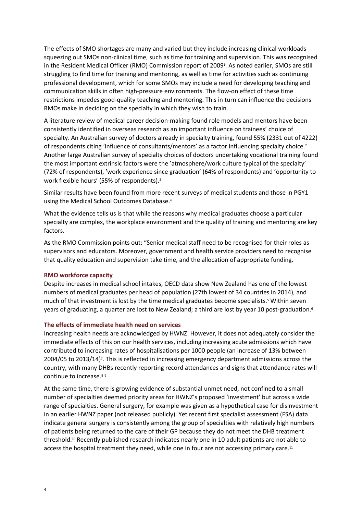The effects of SMO shortages are many and varied but they include increasing clinical workloads squeezing out SMOs non-clinical time, such as time for training and supervision. This was recognised in the Resident Medical Officer (RMO) Commission report of 2009 $^\circ$ . As noted earlier, SMOs are still struggling to find time for training and mentoring, as well as time for activities such as continuing professional development, which for some SMOs may include a need for developing teaching and communication skills in often high-pressure environments. The flow-on effect of these time restrictions impedes good-quality teaching and mentoring. This in turn can influence the decisions RMOs make in deciding on the specialty in which they wish to train.

A literature review of medical career decision-making found role models and mentors have been consistently identified in overseas research as an important influence on trainees' choice of specialty. An Australian survey of doctors already in specialty training, found 55% (2331 out of 4222) of respondents citing 'influence of consultants/mentors' as a factor influencing specialty choice.<sup>2</sup> Another large Australian survey of specialty choices of doctors undertaking vocational training found the most important extrinsic factors were the 'atmosphere/work culture typical of the specialty' (72% of respondents), 'work experience since graduation' (64% of respondents) and 'opportunity to work flexible hours' (55% of respondents).<sup>3</sup>

Similar results have been found from more recent surveys of medical students and those in PGY1 using the Medical School Outcomes Database.<sup>4</sup>

What the evidence tells us is that while the reasons why medical graduates choose a particular specialty are complex, the workplace environment and the quality of training and mentoring are key factors.

As the RMO Commission points out: "Senior medical staff need to be recognised for their roles as supervisors and educators. Moreover, government and health service providers need to recognise that quality education and supervision take time, and the allocation of appropriate funding.

#### **RMO workforce capacity**

Despite increases in medical school intakes, OECD data show New Zealand has one of the lowest numbers of medical graduates per head of population (27th lowest of 34 countries in 2014), and much of that investment is lost by the time medical graduates become specialists.<sup>5</sup> Within seven years of graduating, a quarter are lost to New Zealand; a third are lost by year 10 post-graduation.<sup>6</sup>

#### **The effects of immediate health need on services**

Increasing health needs are acknowledged by HWNZ. However, it does not adequately consider the immediate effects of this on our health services, including increasing acute admissions which have contributed to increasing rates of hospitalisations per 1000 people (an increase of 13% between 2004/05 to 2013/14)<sup>,</sup>. This is reflected in increasing emergency department admissions across the country, with many DHBs recently reporting record attendances and signs that attendance rates will continue to increase.<sup>89</sup>

At the same time, there is growing evidence of substantial unmet need, not confined to a small number of specialties deemed priority areas for HWNZ's proposed 'investment' but across a wide range of specialties. General surgery, for example was given as a hypothetical case for disinvestment in an earlier HWNZ paper (not released publicly). Yet recent first specialist assessment (FSA) data indicate general surgery is consistently among the group of specialties with relatively high numbers of patients being returned to the care of their GP because they do not meet the DHB treatment threshold.<sup>10</sup> Recently published research indicates nearly one in 10 adult patients are not able to access the hospital treatment they need, while one in four are not accessing primary care.<sup>11</sup>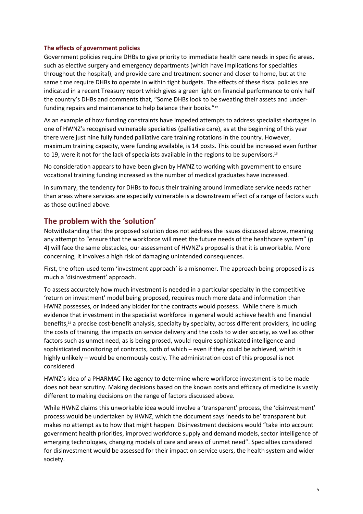## **The effects of government policies**

Government policies require DHBs to give priority to immediate health care needs in specific areas, such as elective surgery and emergency departments (which have implications for specialties throughout the hospital), and provide care and treatment sooner and closer to home, but at the same time require DHBs to operate in within tight budgets. The effects of these fiscal policies are indicated in a recent Treasury report which gives a green light on financial performance to only half the country's DHBs and comments that, "Some DHBs look to be sweating their assets and underfunding repairs and maintenance to help balance their books."<sup>12</sup>

As an example of how funding constraints have impeded attempts to address specialist shortages in one of HWNZ's recognised vulnerable specialties (palliative care), as at the beginning of this year there were just nine fully funded palliative care training rotations in the country. However, maximum training capacity, were funding available, is 14 posts. This could be increased even further to 19, were it not for the lack of specialists available in the regions to be supervisors.<sup>13</sup>

No consideration appears to have been given by HWNZ to working with government to ensure vocational training funding increased as the number of medical graduates have increased.

In summary, the tendency for DHBs to focus their training around immediate service needs rather than areas where services are especially vulnerable is a downstream effect of a range of factors such as those outlined above.

# **The problem with the 'solution'**

Notwithstanding that the proposed solution does not address the issues discussed above, meaning any attempt to "ensure that the workforce will meet the future needs of the healthcare system" (p 4) will face the same obstacles, our assessment of HWNZ's proposal is that it is unworkable. More concerning, it involves a high risk of damaging unintended consequences.

First, the often-used term 'investment approach' is a misnomer. The approach being proposed is as much a 'disinvestment' approach.

To assess accurately how much investment is needed in a particular specialty in the competitive 'return on investment' model being proposed, requires much more data and information than HWNZ possesses, or indeed any bidder for the contracts would possess. While there is much evidence that investment in the specialist workforce in general would achieve health and financial benefits,<sup>14</sup> a precise cost-benefit analysis, specialty by specialty, across different providers, including the costs of training, the impacts on service delivery and the costs to wider society, as well as other factors such as unmet need, as is being prosed, would require sophisticated intelligence and sophisticated monitoring of contracts, both of which – even if they could be achieved, which is highly unlikely – would be enormously costly. The administration cost of this proposal is not considered.

HWNZ's idea of a PHARMAC-like agency to determine where workforce investment is to be made does not bear scrutiny. Making decisions based on the known costs and efficacy of medicine is vastly different to making decisions on the range of factors discussed above.

While HWNZ claims this unworkable idea would involve a 'transparent' process, the 'disinvestment' process would be undertaken by HWNZ, which the document says 'needs to be' transparent but makes no attempt as to how that might happen. Disinvestment decisions would "take into account government health priorities, improved workforce supply and demand models, sector intelligence of emerging technologies, changing models of care and areas of unmet need". Specialties considered for disinvestment would be assessed for their impact on service users, the health system and wider society.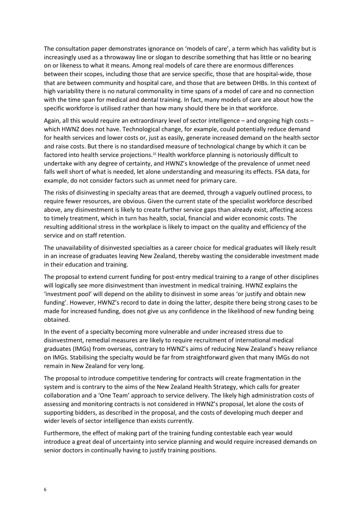The consultation paper demonstrates ignorance on 'models of care', a term which has validity but is increasingly used as a throwaway line or slogan to describe something that has little or no bearing on or likeness to what it means. Among real models of care there are enormous differences between their scopes, including those that are service specific, those that are hospital-wide, those that are between community and hospital care, and those that are between DHBs. In this context of high variability there is no natural commonality in time spans of a model of care and no connection with the time span for medical and dental training. In fact, many models of care are about how the specific workforce is utilised rather than how many should there be in that workforce.

Again, all this would require an extraordinary level of sector intelligence – and ongoing high costs – which HWNZ does not have. Technological change, for example, could potentially reduce demand for health services and lower costs or, just as easily, generate increased demand on the health sector and raise costs. But there is no standardised measure of technological change by which it can be factored into health service projections.<sup>15</sup> Health workforce planning is notoriously difficult to undertake with any degree of certainty, and HWNZ's knowledge of the prevalence of unmet need falls well short of what is needed, let alone understanding and measuring its effects. FSA data, for example, do not consider factors such as unmet need for primary care.

The risks of disinvesting in specialty areas that are deemed, through a vaguely outlined process, to require fewer resources, are obvious. Given the current state of the specialist workforce described above, any disinvestment is likely to create further service gaps than already exist, affecting access to timely treatment, which in turn has health, social, financial and wider economic costs. The resulting additional stress in the workplace is likely to impact on the quality and efficiency of the service and on staff retention.

The unavailability of disinvested specialties as a career choice for medical graduates will likely result in an increase of graduates leaving New Zealand, thereby wasting the considerable investment made in their education and training.

The proposal to extend current funding for post-entry medical training to a range of other disciplines will logically see more disinvestment than investment in medical training. HWNZ explains the 'investment pool' will depend on the ability to disinvest in some areas 'or justify and obtain new funding'. However, HWNZ's record to date in doing the latter, despite there being strong cases to be made for increased funding, does not give us any confidence in the likelihood of new funding being obtained.

In the event of a specialty becoming more vulnerable and under increased stress due to disinvestment, remedial measures are likely to require recruitment of international medical graduates (IMGs) from overseas, contrary to HWNZ's aims of reducing New Zealand's heavy reliance on IMGs. Stabilising the specialty would be far from straightforward given that many IMGs do not remain in New Zealand for very long.

The proposal to introduce competitive tendering for contracts will create fragmentation in the system and is contrary to the aims of the New Zealand Health Strategy, which calls for greater collaboration and a 'One Team' approach to service delivery. The likely high administration costs of assessing and monitoring contracts is not considered in HWNZ's proposal, let alone the costs of supporting bidders, as described in the proposal, and the costs of developing much deeper and wider levels of sector intelligence than exists currently.

Furthermore, the effect of making part of the training funding contestable each year would introduce a great deal of uncertainty into service planning and would require increased demands on senior doctors in continually having to justify training positions.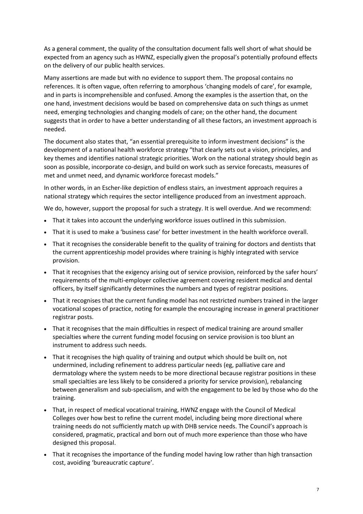As a general comment, the quality of the consultation document falls well short of what should be expected from an agency such as HWNZ, especially given the proposal's potentially profound effects on the delivery of our public health services.

Many assertions are made but with no evidence to support them. The proposal contains no references. It is often vague, often referring to amorphous 'changing models of care', for example, and in parts is incomprehensible and confused. Among the examples is the assertion that, on the one hand, investment decisions would be based on comprehensive data on such things as unmet need, emerging technologies and changing models of care; on the other hand, the document suggests that in order to have a better understanding of all these factors, an investment approach is needed.

The document also states that, "an essential prerequisite to inform investment decisions" is the development of a national health workforce strategy "that clearly sets out a vision, principles, and key themes and identifies national strategic priorities. Work on the national strategy should begin as soon as possible, incorporate co-design, and build on work such as service forecasts, measures of met and unmet need, and dynamic workforce forecast models."

In other words, in an Escher-like depiction of endless stairs, an investment approach requires a national strategy which requires the sector intelligence produced from an investment approach.

We do, however, support the proposal for such a strategy. It is well overdue. And we recommend:

- That it takes into account the underlying workforce issues outlined in this submission.
- That it is used to make a 'business case' for better investment in the health workforce overall.
- That it recognises the considerable benefit to the quality of training for doctors and dentists that the current apprenticeship model provides where training is highly integrated with service provision.
- That it recognises that the exigency arising out of service provision, reinforced by the safer hours' requirements of the multi-employer collective agreement covering resident medical and dental officers, by itself significantly determines the numbers and types of registrar positions.
- That it recognises that the current funding model has not restricted numbers trained in the larger vocational scopes of practice, noting for example the encouraging increase in general practitioner registrar posts.
- That it recognises that the main difficulties in respect of medical training are around smaller specialties where the current funding model focusing on service provision is too blunt an instrument to address such needs.
- That it recognises the high quality of training and output which should be built on, not undermined, including refinement to address particular needs (eg, palliative care and dermatology where the system needs to be more directional because registrar positions in these small specialties are less likely to be considered a priority for service provision), rebalancing between generalism and sub-specialism, and with the engagement to be led by those who do the training.
- That, in respect of medical vocational training, HWNZ engage with the Council of Medical Colleges over how best to refine the current model, including being more directional where training needs do not sufficiently match up with DHB service needs. The Council's approach is considered, pragmatic, practical and born out of much more experience than those who have designed this proposal.
- That it recognises the importance of the funding model having low rather than high transaction cost, avoiding 'bureaucratic capture'.